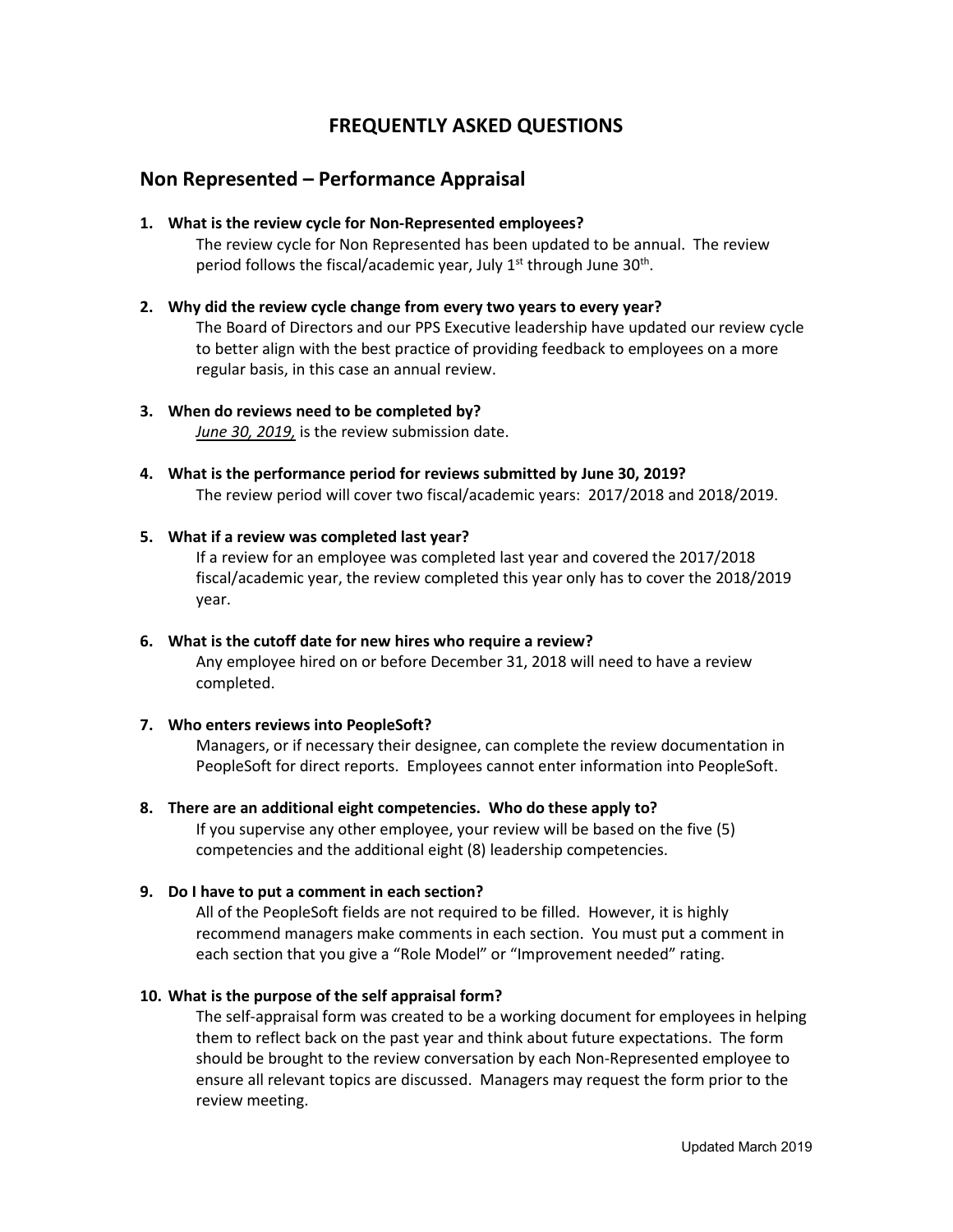## **FREQUENTLY ASKED QUESTIONS**

## **Non Represented – Performance Appraisal**

**1. What is the review cycle for Non-Represented employees?**

The review cycle for Non Represented has been updated to be annual. The review period follows the fiscal/academic year, July  $1<sup>st</sup>$  through June 30<sup>th</sup>.

**2. Why did the review cycle change from every two years to every year?**

The Board of Directors and our PPS Executive leadership have updated our review cycle to better align with the best practice of providing feedback to employees on a more regular basis, in this case an annual review.

- **3. When do reviews need to be completed by?** *June 30, 2019,* is the review submission date.
- **4. What is the performance period for reviews submitted by June 30, 2019?** The review period will cover two fiscal/academic years: 2017/2018 and 2018/2019.

## **5. What if a review was completed last year?**

If a review for an employee was completed last year and covered the 2017/2018 fiscal/academic year, the review completed this year only has to cover the 2018/2019 year.

**6. What is the cutoff date for new hires who require a review?** Any employee hired on or before December 31, 2018 will need to have a review completed.

## **7. Who enters reviews into PeopleSoft?**

Managers, or if necessary their designee, can complete the review documentation in PeopleSoft for direct reports. Employees cannot enter information into PeopleSoft.

**8. There are an additional eight competencies. Who do these apply to?**

If you supervise any other employee, your review will be based on the five (5) competencies and the additional eight (8) leadership competencies.

## **9. Do I have to put a comment in each section?**

All of the PeopleSoft fields are not required to be filled. However, it is highly recommend managers make comments in each section. You must put a comment in each section that you give a "Role Model" or "Improvement needed" rating.

## **10. What is the purpose of the self appraisal form?**

The self-appraisal form was created to be a working document for employees in helping them to reflect back on the past year and think about future expectations. The form should be brought to the review conversation by each Non-Represented employee to ensure all relevant topics are discussed. Managers may request the form prior to the review meeting.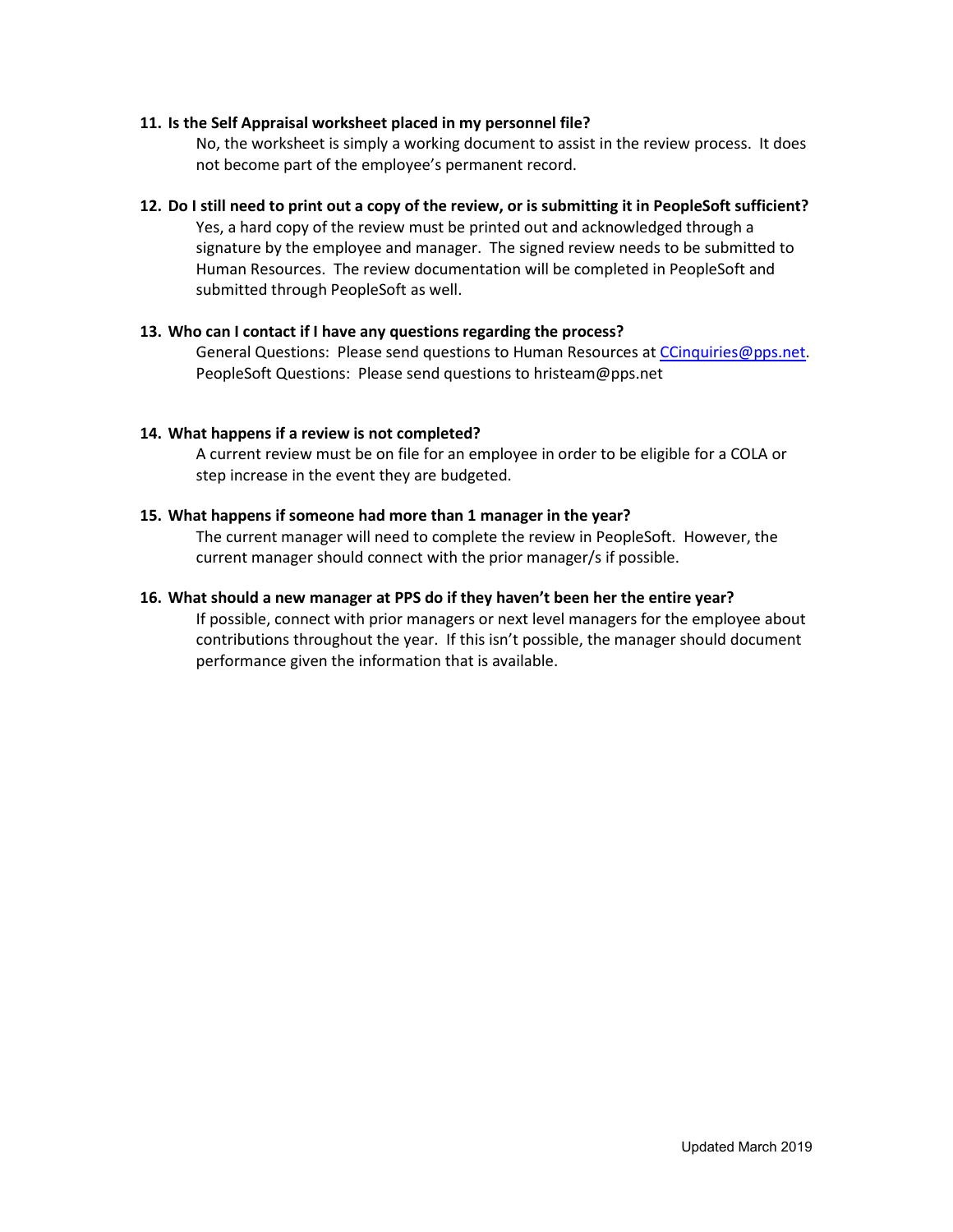### **11. Is the Self Appraisal worksheet placed in my personnel file?**

No, the worksheet is simply a working document to assist in the review process. It does not become part of the employee's permanent record.

#### **12. Do I still need to print out a copy of the review, or is submitting it in PeopleSoft sufficient?**

Yes, a hard copy of the review must be printed out and acknowledged through a signature by the employee and manager. The signed review needs to be submitted to Human Resources. The review documentation will be completed in PeopleSoft and submitted through PeopleSoft as well.

### **13. Who can I contact if I have any questions regarding the process?**

General Questions: Please send questions to Human Resources at [CCinquiries@pps.net.](mailto:CCinquiries@pps.net) PeopleSoft Questions: Please send questions to hristeam@pps.net

### **14. What happens if a review is not completed?**

A current review must be on file for an employee in order to be eligible for a COLA or step increase in the event they are budgeted.

### **15. What happens if someone had more than 1 manager in the year?**

The current manager will need to complete the review in PeopleSoft. However, the current manager should connect with the prior manager/s if possible.

### **16. What should a new manager at PPS do if they haven't been her the entire year?**

If possible, connect with prior managers or next level managers for the employee about contributions throughout the year. If this isn't possible, the manager should document performance given the information that is available.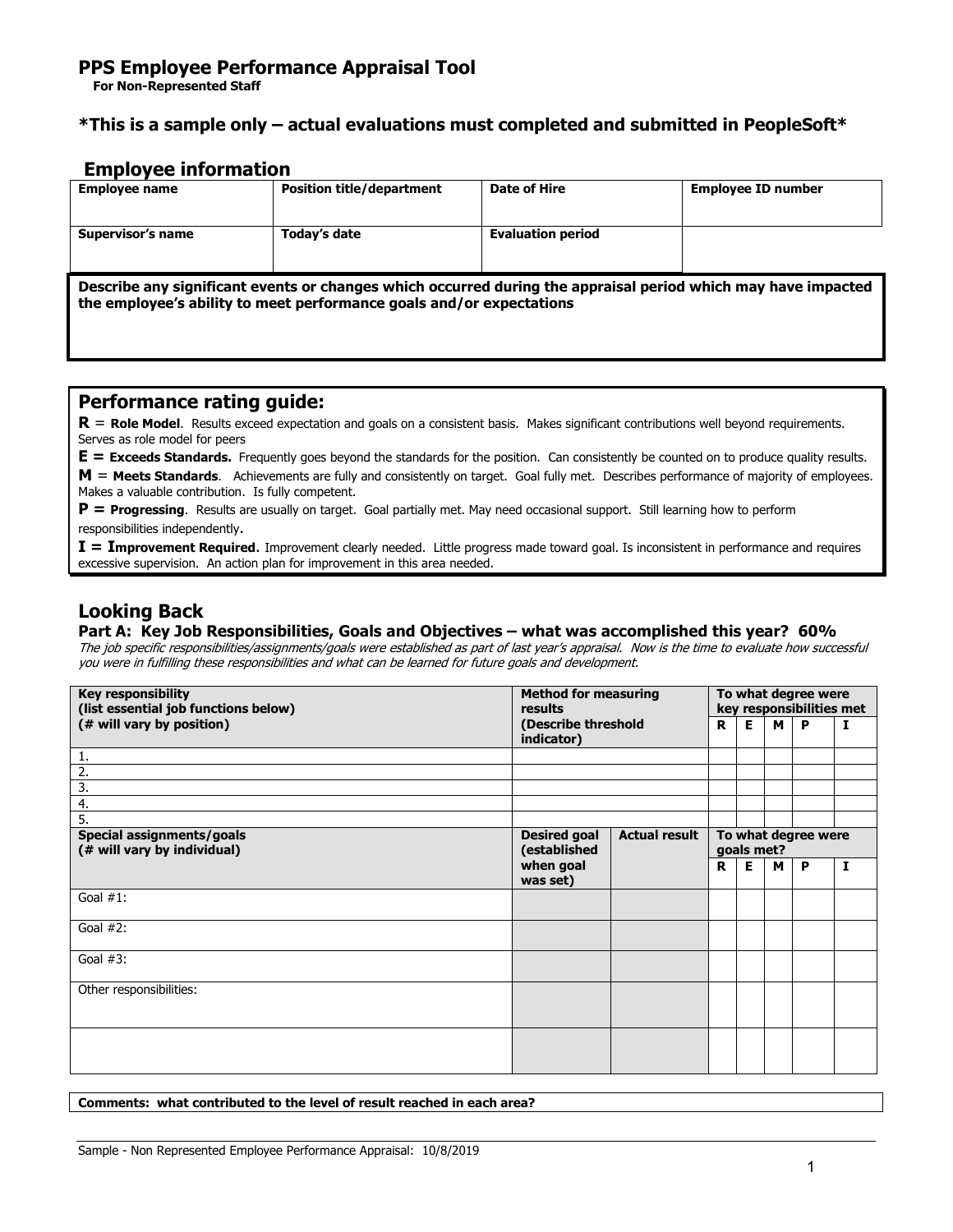## **\*This is a sample only – actual evaluations must completed and submitted in PeopleSoft\***

## **Employee information**

| <b>Employee name</b>                                                                                                                                                                  | <b>Position title/department</b> | Date of Hire             | <b>Employee ID number</b> |  |  |  |  |
|---------------------------------------------------------------------------------------------------------------------------------------------------------------------------------------|----------------------------------|--------------------------|---------------------------|--|--|--|--|
| Supervisor's name                                                                                                                                                                     | Today's date                     | <b>Evaluation period</b> |                           |  |  |  |  |
| Describe any significant events or changes which occurred during the appraisal period which may have impacted<br>the employee's ability to meet performance goals and/or expectations |                                  |                          |                           |  |  |  |  |

## **Performance rating guide:**

**R** = **Role Model**. Results exceed expectation and goals on a consistent basis. Makes significant contributions well beyond requirements. Serves as role model for peers

**E = Exceeds Standards.** Frequently goes beyond the standards for the position. Can consistently be counted on to produce quality results. **M** = **Meets Standards**. Achievements are fully and consistently on target. Goal fully met. Describes performance of majority of employees.

Makes a valuable contribution. Is fully competent.

**P = Progressing**. Results are usually on target. Goal partially met. May need occasional support. Still learning how to perform responsibilities independently.

**I = Improvement Required**. Improvement clearly needed. Little progress made toward goal. Is inconsistent in performance and requires excessive supervision. An action plan for improvement in this area needed.

## **Looking Back**

#### **Part A: Key Job Responsibilities, Goals and Objectives – what was accomplished this year? 60%**

The job specific responsibilities/assignments/goals were established as part of last year's appraisal. Now is the time to evaluate how successful you were in fulfilling these responsibilities and what can be learned for future goals and development.

| <b>Key responsibility</b><br>(list essential job functions below) | <b>Method for measuring</b><br>results                      |  | To what degree were<br>key responsibilities met |    |   |   |              |
|-------------------------------------------------------------------|-------------------------------------------------------------|--|-------------------------------------------------|----|---|---|--------------|
| (# will vary by position)                                         | (Describe threshold<br>indicator)                           |  | R.                                              | E. | м | P | Ι.           |
| 1.                                                                |                                                             |  |                                                 |    |   |   |              |
| $\overline{2}$ .                                                  |                                                             |  |                                                 |    |   |   |              |
| 3.                                                                |                                                             |  |                                                 |    |   |   |              |
| 4.                                                                |                                                             |  |                                                 |    |   |   |              |
| 5.                                                                |                                                             |  |                                                 |    |   |   |              |
| Special assignments/goals<br>(# will vary by individual)          | <b>Desired goal</b><br><b>Actual result</b><br>(established |  | To what degree were<br>goals met?               |    |   |   |              |
|                                                                   | when goal<br>was set)                                       |  | R                                               | Е  | M | P | $\mathbf{I}$ |
| Goal $#1$ :                                                       |                                                             |  |                                                 |    |   |   |              |
| Goal $#2$ :                                                       |                                                             |  |                                                 |    |   |   |              |
| Goal $#3$ :                                                       |                                                             |  |                                                 |    |   |   |              |
| Other responsibilities:                                           |                                                             |  |                                                 |    |   |   |              |
|                                                                   |                                                             |  |                                                 |    |   |   |              |

**Comments: what contributed to the level of result reached in each area?**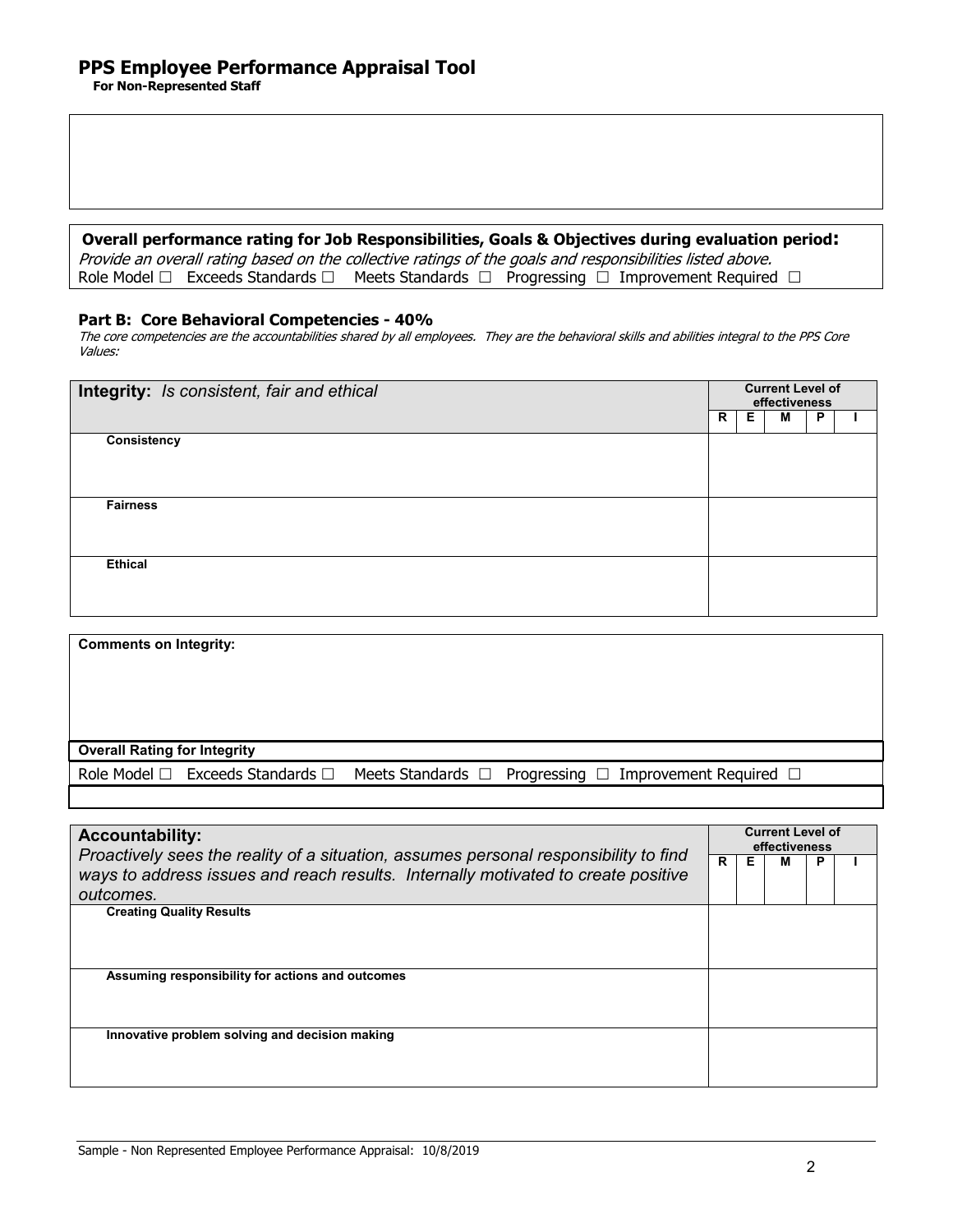### **Overall performance rating for Job Responsibilities, Goals & Objectives during evaluation period:**

Provide an overall rating based on the collective ratings of the goals and responsibilities listed above. Role Model  $\Box$  Exceeds Standards  $\Box$  Meets Standards  $\Box$  Progressing  $\Box$  Improvement Required  $\Box$ 

### **Part B: Core Behavioral Competencies - 40%**

The core competencies are the accountabilities shared by all employees. They are the behavioral skills and abilities integral to the PPS Core Values:

| Integrity: Is consistent, fair and ethical |   | <b>Current Level of</b><br>effectiveness |   |   |  |  |  |  |
|--------------------------------------------|---|------------------------------------------|---|---|--|--|--|--|
|                                            | R | Е                                        | M | P |  |  |  |  |
| <b>Consistency</b>                         |   |                                          |   |   |  |  |  |  |
|                                            |   |                                          |   |   |  |  |  |  |
|                                            |   |                                          |   |   |  |  |  |  |
| <b>Fairness</b>                            |   |                                          |   |   |  |  |  |  |
|                                            |   |                                          |   |   |  |  |  |  |
| <b>Ethical</b>                             |   |                                          |   |   |  |  |  |  |
|                                            |   |                                          |   |   |  |  |  |  |
|                                            |   |                                          |   |   |  |  |  |  |

| <b>Overall Rating for Integrity</b> | <b>Comments on Integrity:</b> |                                                                                                                  |
|-------------------------------------|-------------------------------|------------------------------------------------------------------------------------------------------------------|
|                                     |                               |                                                                                                                  |
|                                     |                               |                                                                                                                  |
|                                     |                               |                                                                                                                  |
|                                     |                               |                                                                                                                  |
|                                     |                               | Role Model $\Box$ Exceeds Standards $\Box$ Meets Standards $\Box$ Progressing $\Box$ Improvement Required $\Box$ |

| <b>Accountability:</b><br>Proactively sees the reality of a situation, assumes personal responsibility to find<br>ways to address issues and reach results. Internally motivated to create positive |  | <b>Current Level of</b><br>effectiveness |   |   |  |  |  |  |
|-----------------------------------------------------------------------------------------------------------------------------------------------------------------------------------------------------|--|------------------------------------------|---|---|--|--|--|--|
|                                                                                                                                                                                                     |  | Е                                        | м | Р |  |  |  |  |
| outcomes.                                                                                                                                                                                           |  |                                          |   |   |  |  |  |  |
| <b>Creating Quality Results</b>                                                                                                                                                                     |  |                                          |   |   |  |  |  |  |
| Assuming responsibility for actions and outcomes                                                                                                                                                    |  |                                          |   |   |  |  |  |  |
| Innovative problem solving and decision making                                                                                                                                                      |  |                                          |   |   |  |  |  |  |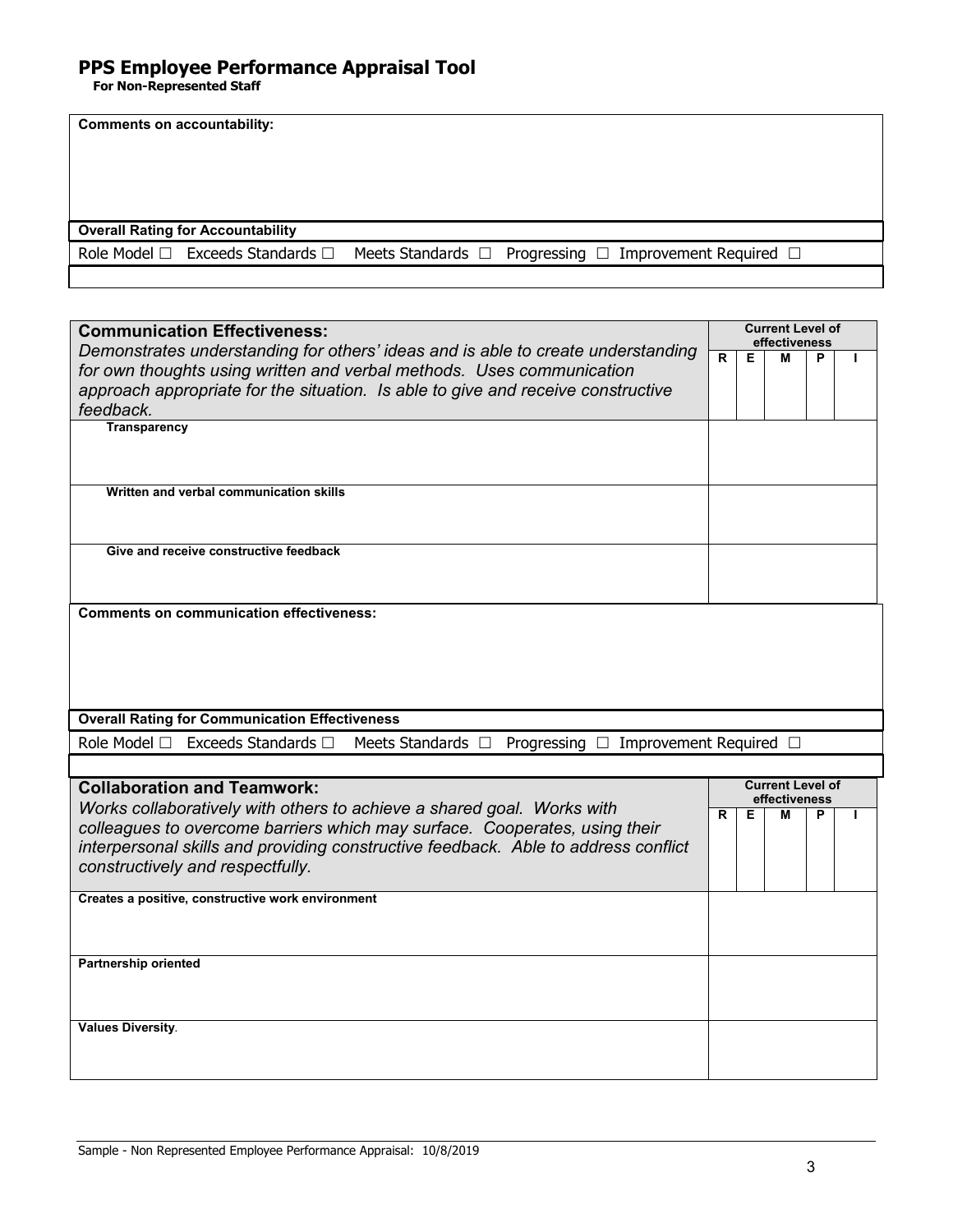| <b>Comments on accountability:</b>                                                                      |                                          |
|---------------------------------------------------------------------------------------------------------|------------------------------------------|
|                                                                                                         |                                          |
| <b>Overall Rating for Accountability</b>                                                                |                                          |
| Role Model □ Exceeds Standards □<br>Meets Standards □<br>Progressing $\Box$ Improvement Required $\Box$ |                                          |
|                                                                                                         |                                          |
|                                                                                                         |                                          |
| <b>Communication Effectiveness:</b>                                                                     | <b>Current Level of</b><br>effectiveness |
| Demonstrates understanding for others' ideas and is able to create understanding                        | $\overline{\mathsf{R}}$<br>Е<br>М<br>P   |
| for own thoughts using written and verbal methods. Uses communication                                   |                                          |
| approach appropriate for the situation. Is able to give and receive constructive                        |                                          |
| feedback.<br><b>Transparency</b>                                                                        |                                          |
|                                                                                                         |                                          |
|                                                                                                         |                                          |
| Written and verbal communication skills                                                                 |                                          |
|                                                                                                         |                                          |
|                                                                                                         |                                          |
| Give and receive constructive feedback                                                                  |                                          |
|                                                                                                         |                                          |
|                                                                                                         |                                          |
| <b>Comments on communication effectiveness:</b>                                                         |                                          |
|                                                                                                         |                                          |
|                                                                                                         |                                          |
|                                                                                                         |                                          |
| <b>Overall Rating for Communication Effectiveness</b>                                                   |                                          |
| Role Model □<br>Exceeds Standards $\Box$<br>Meets Standards $\Box$<br>Progressing $\square$             | Improvement Required $\Box$              |
|                                                                                                         |                                          |
| <b>Collaboration and Teamwork:</b>                                                                      | <b>Current Level of</b>                  |
| Works collaboratively with others to achieve a shared goal. Works with                                  | effectiveness                            |
| colleagues to overcome barriers which may surface. Cooperates, using their                              | R<br>Е<br>M<br>P                         |
| interpersonal skills and providing constructive feedback. Able to address conflict                      |                                          |
| constructively and respectfully.                                                                        |                                          |
| Creates a positive, constructive work environment                                                       |                                          |
|                                                                                                         |                                          |
|                                                                                                         |                                          |
| <b>Partnership oriented</b>                                                                             |                                          |
|                                                                                                         |                                          |
|                                                                                                         |                                          |
| <b>Values Diversity.</b>                                                                                |                                          |
|                                                                                                         |                                          |
|                                                                                                         |                                          |
|                                                                                                         |                                          |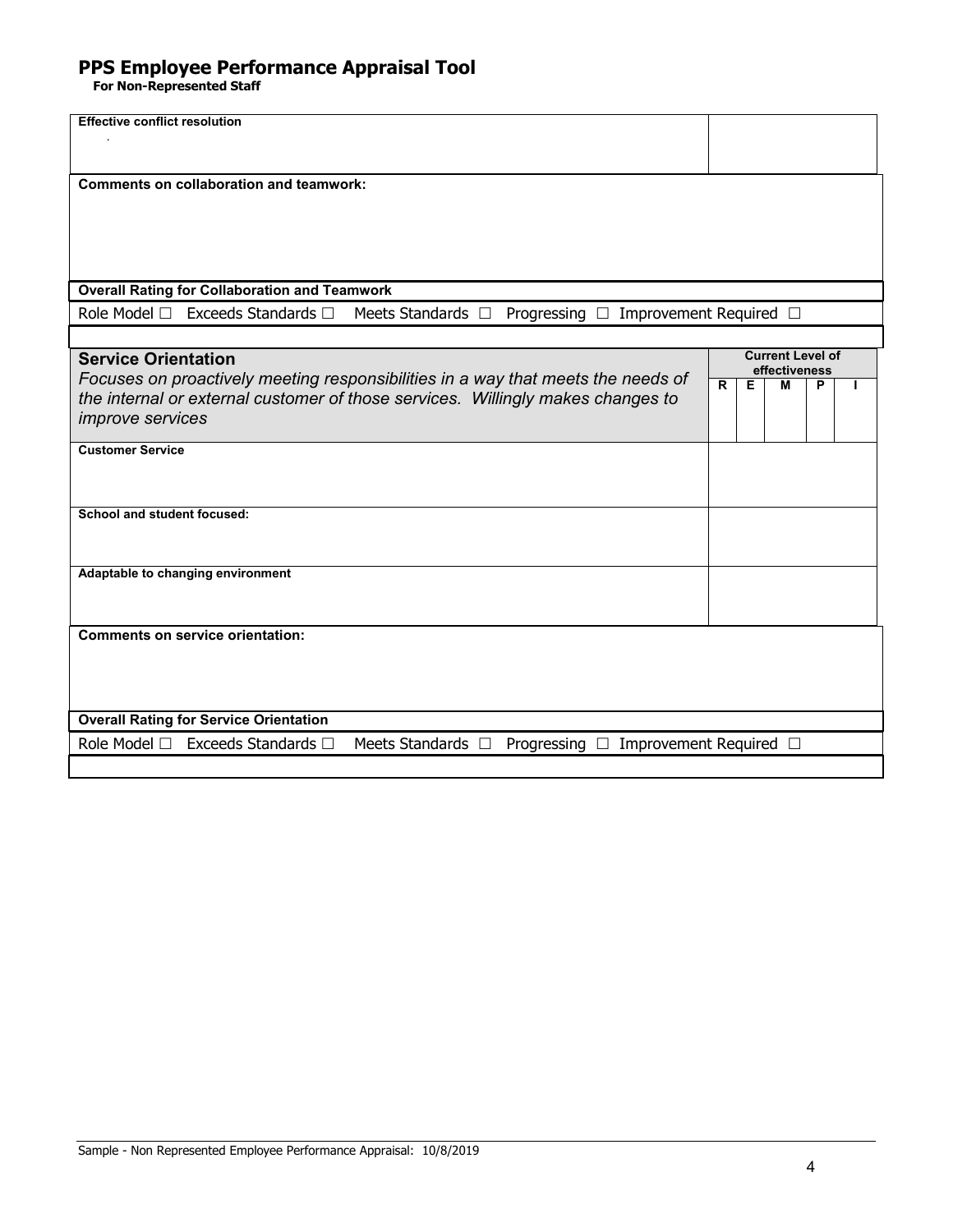| <b>Effective conflict resolution</b>                                                |                                          |
|-------------------------------------------------------------------------------------|------------------------------------------|
|                                                                                     |                                          |
|                                                                                     |                                          |
| <b>Comments on collaboration and teamwork:</b>                                      |                                          |
|                                                                                     |                                          |
|                                                                                     |                                          |
|                                                                                     |                                          |
|                                                                                     |                                          |
|                                                                                     |                                          |
| <b>Overall Rating for Collaboration and Teamwork</b>                                |                                          |
| Exceeds Standards □<br>Role Model □<br>Meets Standards $\Box$<br>Progressing $\Box$ | Improvement Required □                   |
|                                                                                     |                                          |
| <b>Service Orientation</b>                                                          | <b>Current Level of</b><br>effectiveness |
| Focuses on proactively meeting responsibilities in a way that meets the needs of    | $\overline{\mathsf{R}}$<br>Е<br>М<br>P   |
| the internal or external customer of those services. Willingly makes changes to     |                                          |
| <i>improve</i> services                                                             |                                          |
| <b>Customer Service</b>                                                             |                                          |
|                                                                                     |                                          |
|                                                                                     |                                          |
| School and student focused:                                                         |                                          |
|                                                                                     |                                          |
|                                                                                     |                                          |
| Adaptable to changing environment                                                   |                                          |
|                                                                                     |                                          |
|                                                                                     |                                          |
| <b>Comments on service orientation:</b>                                             |                                          |
|                                                                                     |                                          |
|                                                                                     |                                          |
|                                                                                     |                                          |
|                                                                                     |                                          |
| <b>Overall Rating for Service Orientation</b>                                       |                                          |
| Role Model □<br>Exceeds Standards □<br>Meets Standards $\Box$<br>Progressing $\Box$ | Improvement Required [                   |
|                                                                                     |                                          |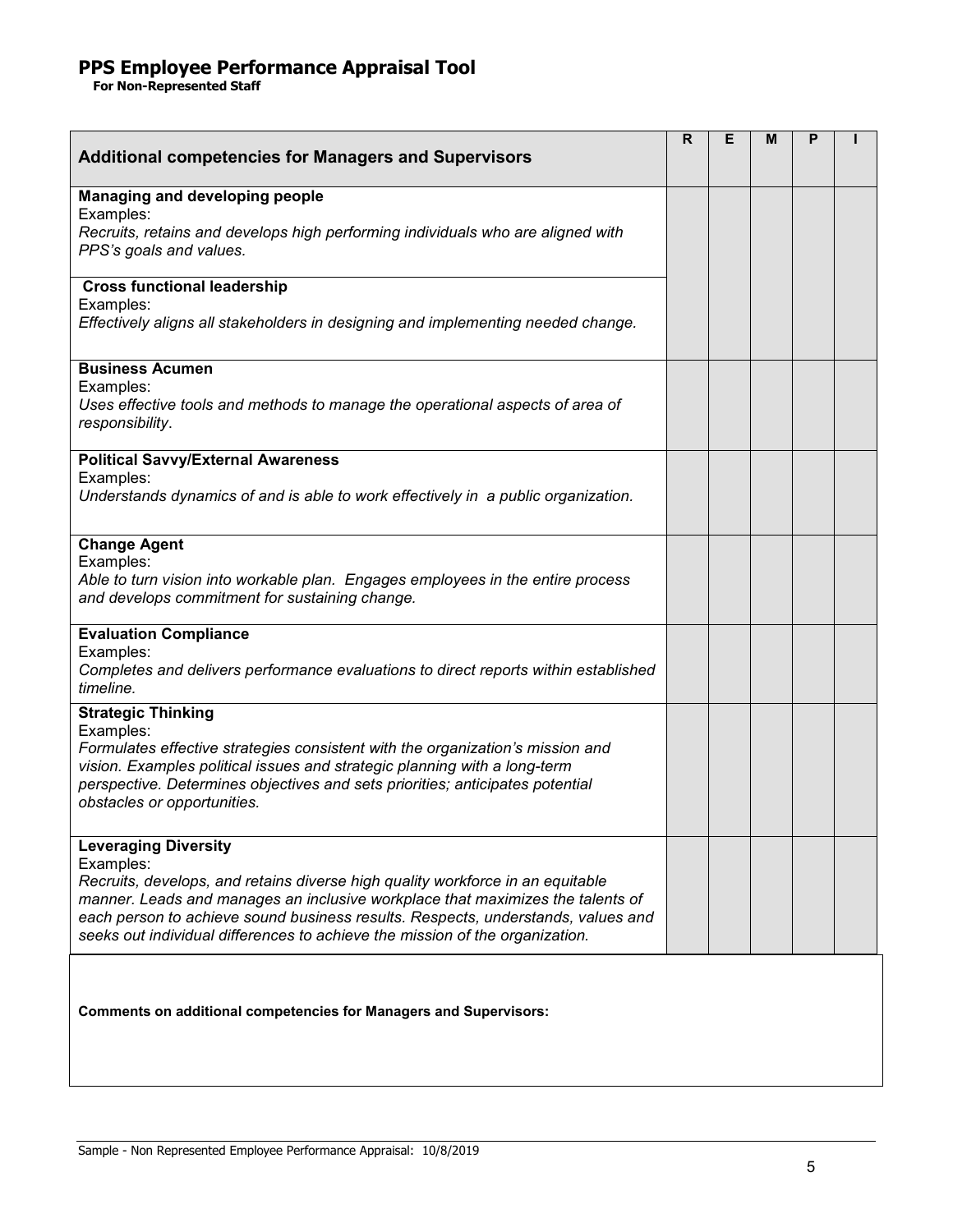| <b>Additional competencies for Managers and Supervisors</b>                                                                                                                                                                                                                                                                                                                      | R. | Е | м | P |  |
|----------------------------------------------------------------------------------------------------------------------------------------------------------------------------------------------------------------------------------------------------------------------------------------------------------------------------------------------------------------------------------|----|---|---|---|--|
| Managing and developing people<br>Examples:<br>Recruits, retains and develops high performing individuals who are aligned with<br>PPS's goals and values.                                                                                                                                                                                                                        |    |   |   |   |  |
| <b>Cross functional leadership</b><br>Examples:<br>Effectively aligns all stakeholders in designing and implementing needed change.                                                                                                                                                                                                                                              |    |   |   |   |  |
| <b>Business Acumen</b><br>Examples:<br>Uses effective tools and methods to manage the operational aspects of area of<br>responsibility.                                                                                                                                                                                                                                          |    |   |   |   |  |
| <b>Political Savvy/External Awareness</b><br>Examples:<br>Understands dynamics of and is able to work effectively in a public organization.                                                                                                                                                                                                                                      |    |   |   |   |  |
| <b>Change Agent</b><br>Examples:<br>Able to turn vision into workable plan. Engages employees in the entire process<br>and develops commitment for sustaining change.                                                                                                                                                                                                            |    |   |   |   |  |
| <b>Evaluation Compliance</b><br>Examples:<br>Completes and delivers performance evaluations to direct reports within established<br>timeline.                                                                                                                                                                                                                                    |    |   |   |   |  |
| <b>Strategic Thinking</b><br>Examples:<br>Formulates effective strategies consistent with the organization's mission and<br>vision. Examples political issues and strategic planning with a long-term<br>perspective. Determines objectives and sets priorities; anticipates potential<br>obstacles or opportunities.                                                            |    |   |   |   |  |
| <b>Leveraging Diversity</b><br>Examples:<br>Recruits, develops, and retains diverse high quality workforce in an equitable<br>manner. Leads and manages an inclusive workplace that maximizes the talents of<br>each person to achieve sound business results. Respects, understands, values and<br>seeks out individual differences to achieve the mission of the organization. |    |   |   |   |  |
| <b>Comments on additional competencies for Managers and Supervisors:</b>                                                                                                                                                                                                                                                                                                         |    |   |   |   |  |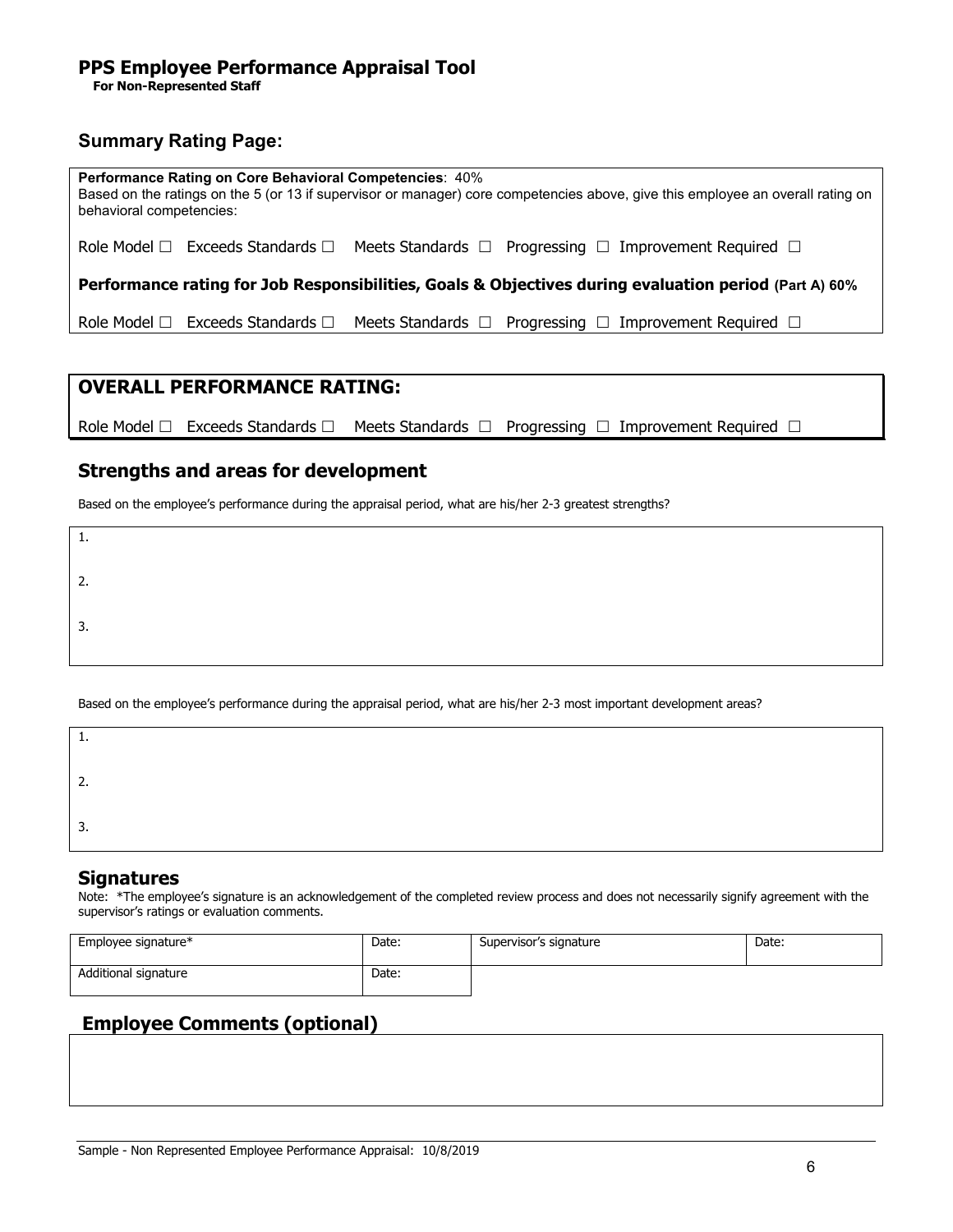## **Summary Rating Page:**

| <b>Performance Rating on Core Behavioral Competencies: 40%</b><br>Based on the ratings on the 5 (or 13 if supervisor or manager) core competencies above, give this employee an overall rating on<br>behavioral competencies: |                                            |  |                                                                                                       |  |  |  |  |
|-------------------------------------------------------------------------------------------------------------------------------------------------------------------------------------------------------------------------------|--------------------------------------------|--|-------------------------------------------------------------------------------------------------------|--|--|--|--|
|                                                                                                                                                                                                                               | Role Model $\Box$ Exceeds Standards $\Box$ |  | Meets Standards $\Box$ Progressing $\Box$ Improvement Required $\Box$                                 |  |  |  |  |
|                                                                                                                                                                                                                               |                                            |  | Performance rating for Job Responsibilities, Goals & Objectives during evaluation period (Part A) 60% |  |  |  |  |
|                                                                                                                                                                                                                               | Role Model $\Box$ Exceeds Standards $\Box$ |  | Meets Standards $\Box$ Progressing $\Box$ Improvement Required $\Box$                                 |  |  |  |  |

## **OVERALL PERFORMANCE RATING:**

Role Model  $\Box$  Exceeds Standards  $\Box$  Meets Standards  $\Box$  Progressing  $\Box$  Improvement Required  $\Box$ 

## **Strengths and areas for development**

Based on the employee's performance during the appraisal period, what are his/her 2-3 greatest strengths?

| .  |  |  |  |
|----|--|--|--|
| 2. |  |  |  |
| 3. |  |  |  |

Based on the employee's performance during the appraisal period, what are his/her 2-3 most important development areas?

| .         |  |  |
|-----------|--|--|
| <u>L.</u> |  |  |
| . ب       |  |  |

## **Signatures**

Note: \*The employee's signature is an acknowledgement of the completed review process and does not necessarily signify agreement with the supervisor's ratings or evaluation comments.

| Employee signature*  | Date: | Supervisor's signature | Date: |
|----------------------|-------|------------------------|-------|
| Additional signature | Date: |                        |       |

## **Employee Comments (optional)**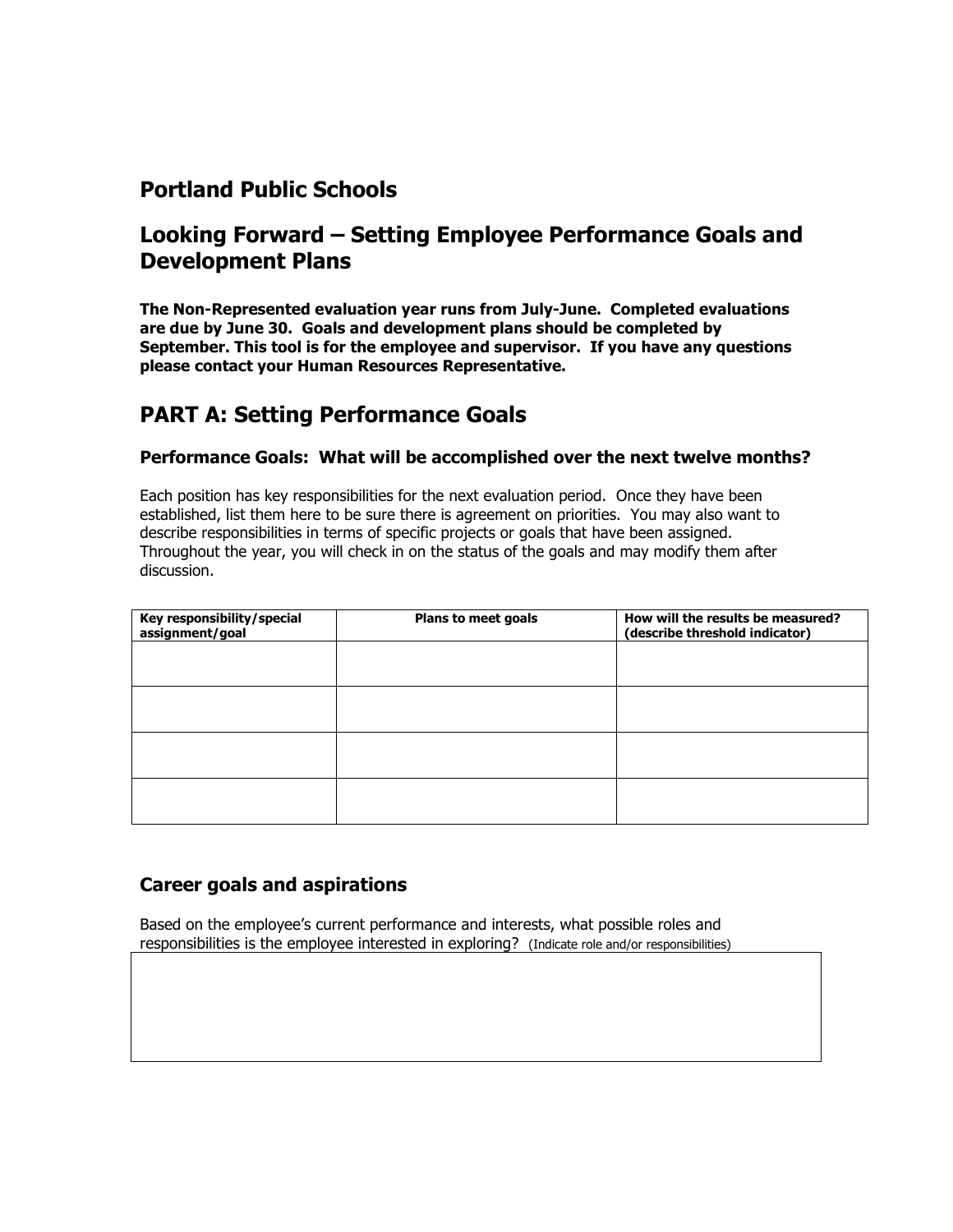## **Portland Public Schools**

## **Looking Forward – Setting Employee Performance Goals and Development Plans**

**The Non-Represented evaluation year runs from July-June. Completed evaluations are due by June 30. Goals and development plans should be completed by September. This tool is for the employee and supervisor. If you have any questions please contact your Human Resources Representative.**

## **PART A: Setting Performance Goals**

## **Performance Goals: What will be accomplished over the next twelve months?**

Each position has key responsibilities for the next evaluation period. Once they have been established, list them here to be sure there is agreement on priorities. You may also want to describe responsibilities in terms of specific projects or goals that have been assigned. Throughout the year, you will check in on the status of the goals and may modify them after discussion.

| Key responsibility/special<br>assignment/goal | Plans to meet goals | How will the results be measured?<br>(describe threshold indicator) |
|-----------------------------------------------|---------------------|---------------------------------------------------------------------|
|                                               |                     |                                                                     |
|                                               |                     |                                                                     |
|                                               |                     |                                                                     |
|                                               |                     |                                                                     |
|                                               |                     |                                                                     |

## **Career goals and aspirations**

Based on the employee's current performance and interests, what possible roles and responsibilities is the employee interested in exploring? (Indicate role and/or responsibilities)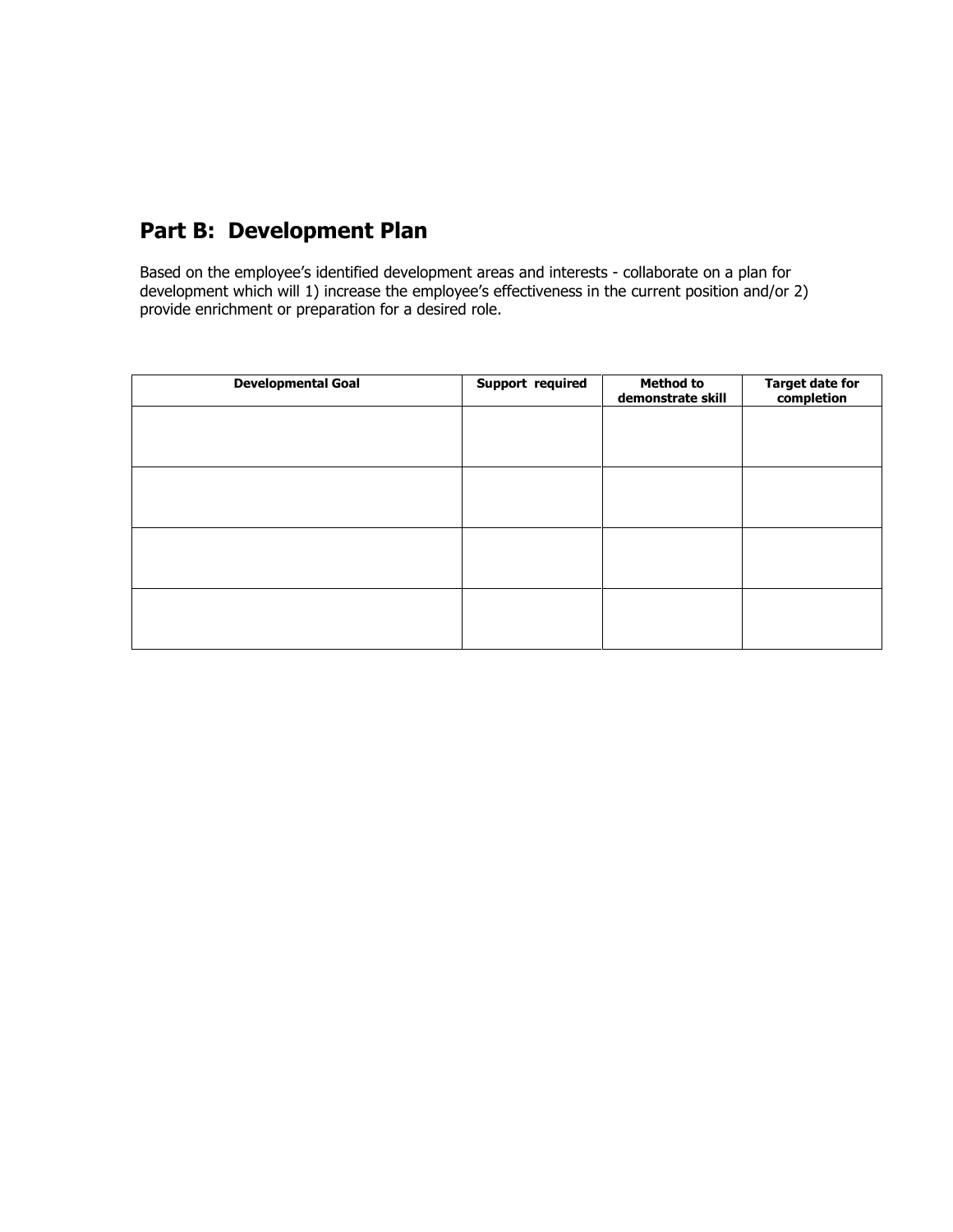## **Part B: Development Plan**

Based on the employee's identified development areas and interests - collaborate on a plan for development which will 1) increase the employee's effectiveness in the current position and/or 2) provide enrichment or preparation for a desired role.

| <b>Developmental Goal</b> | Support required | <b>Method to</b><br>demonstrate skill | Target date for<br>completion |
|---------------------------|------------------|---------------------------------------|-------------------------------|
|                           |                  |                                       |                               |
|                           |                  |                                       |                               |
|                           |                  |                                       |                               |
|                           |                  |                                       |                               |
|                           |                  |                                       |                               |
|                           |                  |                                       |                               |
|                           |                  |                                       |                               |
|                           |                  |                                       |                               |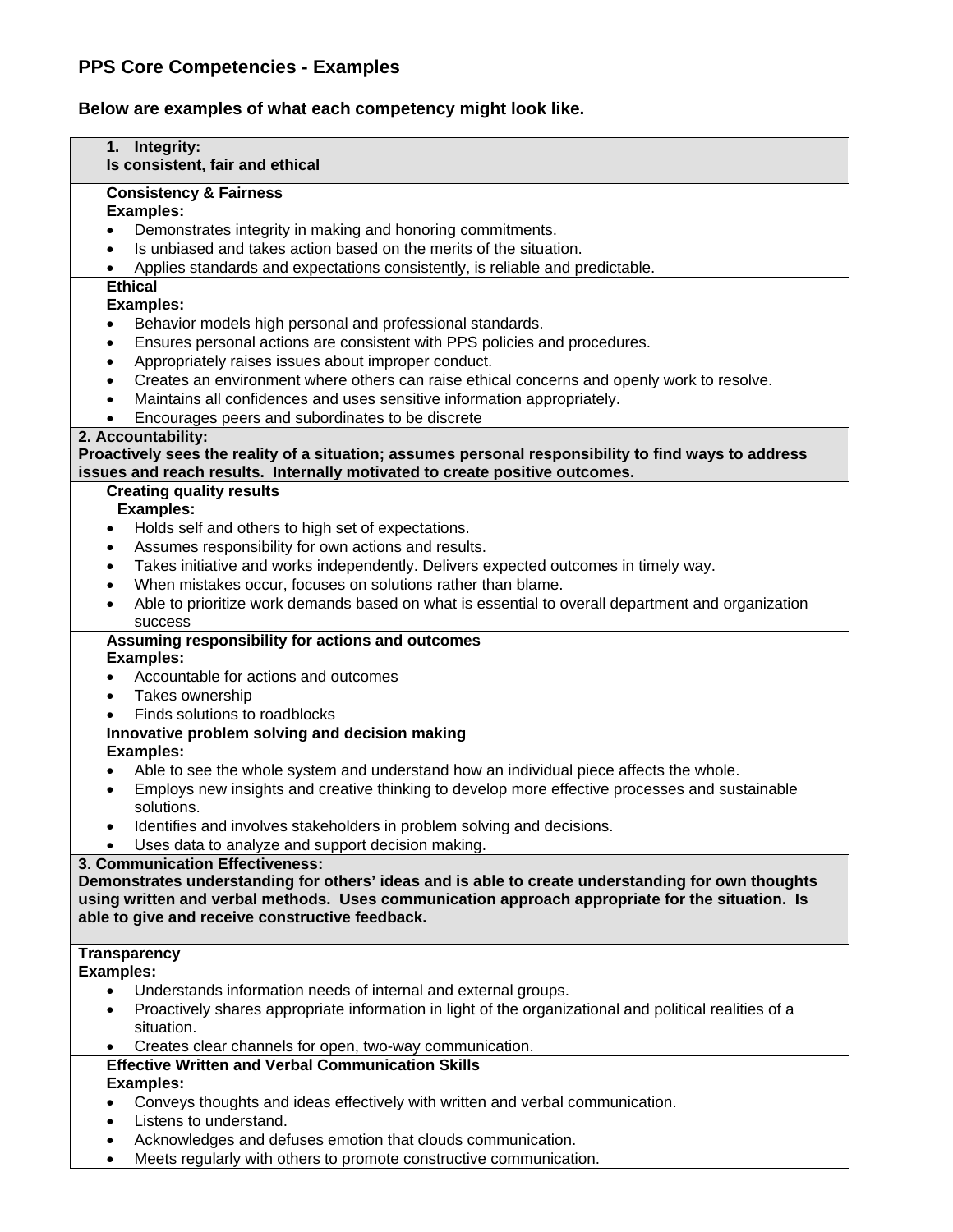## **PPS Core Competencies - Examples**

**Below are examples of what each competency might look like.** 

| 1. Integrity:<br>Is consistent, fair and ethical                                                            |  |  |  |
|-------------------------------------------------------------------------------------------------------------|--|--|--|
|                                                                                                             |  |  |  |
| <b>Consistency &amp; Fairness</b><br><b>Examples:</b>                                                       |  |  |  |
| Demonstrates integrity in making and honoring commitments.                                                  |  |  |  |
| Is unbiased and takes action based on the merits of the situation.                                          |  |  |  |
| Applies standards and expectations consistently, is reliable and predictable.                               |  |  |  |
| <b>Ethical</b>                                                                                              |  |  |  |
| <b>Examples:</b>                                                                                            |  |  |  |
| Behavior models high personal and professional standards.<br>$\bullet$                                      |  |  |  |
| Ensures personal actions are consistent with PPS policies and procedures.<br>$\bullet$                      |  |  |  |
| Appropriately raises issues about improper conduct.<br>$\bullet$                                            |  |  |  |
| Creates an environment where others can raise ethical concerns and openly work to resolve.<br>$\bullet$     |  |  |  |
| Maintains all confidences and uses sensitive information appropriately.                                     |  |  |  |
| Encourages peers and subordinates to be discrete                                                            |  |  |  |
| 2. Accountability:                                                                                          |  |  |  |
| Proactively sees the reality of a situation; assumes personal responsibility to find ways to address        |  |  |  |
| issues and reach results. Internally motivated to create positive outcomes.                                 |  |  |  |
| <b>Creating quality results</b>                                                                             |  |  |  |
| <b>Examples:</b>                                                                                            |  |  |  |
| Holds self and others to high set of expectations.<br>$\bullet$                                             |  |  |  |
| Assumes responsibility for own actions and results.<br>$\bullet$                                            |  |  |  |
| Takes initiative and works independently. Delivers expected outcomes in timely way.<br>$\bullet$            |  |  |  |
| When mistakes occur, focuses on solutions rather than blame.<br>$\bullet$                                   |  |  |  |
| Able to prioritize work demands based on what is essential to overall department and organization           |  |  |  |
| success                                                                                                     |  |  |  |
| Assuming responsibility for actions and outcomes<br><b>Examples:</b>                                        |  |  |  |
| Accountable for actions and outcomes<br>$\bullet$                                                           |  |  |  |
| Takes ownership<br>$\bullet$                                                                                |  |  |  |
| Finds solutions to roadblocks                                                                               |  |  |  |
| Innovative problem solving and decision making                                                              |  |  |  |
| <b>Examples:</b>                                                                                            |  |  |  |
| Able to see the whole system and understand how an individual piece affects the whole.<br>$\bullet$         |  |  |  |
| Employs new insights and creative thinking to develop more effective processes and sustainable<br>$\bullet$ |  |  |  |
| solutions.                                                                                                  |  |  |  |
| Identifies and involves stakeholders in problem solving and decisions.                                      |  |  |  |
| Uses data to analyze and support decision making.                                                           |  |  |  |
| 3. Communication Effectiveness:                                                                             |  |  |  |
| Demonstrates understanding for others' ideas and is able to create understanding for own thoughts           |  |  |  |
| using written and verbal methods. Uses communication approach appropriate for the situation. Is             |  |  |  |
| able to give and receive constructive feedback.                                                             |  |  |  |
|                                                                                                             |  |  |  |
| <b>Transparency</b><br><b>Examples:</b>                                                                     |  |  |  |
| Understands information needs of internal and external groups.<br>$\bullet$                                 |  |  |  |
| Proactively shares appropriate information in light of the organizational and political realities of a      |  |  |  |
| situation.                                                                                                  |  |  |  |
| Creates clear channels for open, two-way communication.                                                     |  |  |  |
| <b>Effective Written and Verbal Communication Skills</b>                                                    |  |  |  |
| <b>Examples:</b>                                                                                            |  |  |  |
| Conveys thoughts and ideas effectively with written and verbal communication.                               |  |  |  |
| Listens to understand.<br>$\bullet$                                                                         |  |  |  |
| Acknowledges and defuses emotion that clouds communication.                                                 |  |  |  |
| Meets regularly with others to promote constructive communication.<br>$\bullet$                             |  |  |  |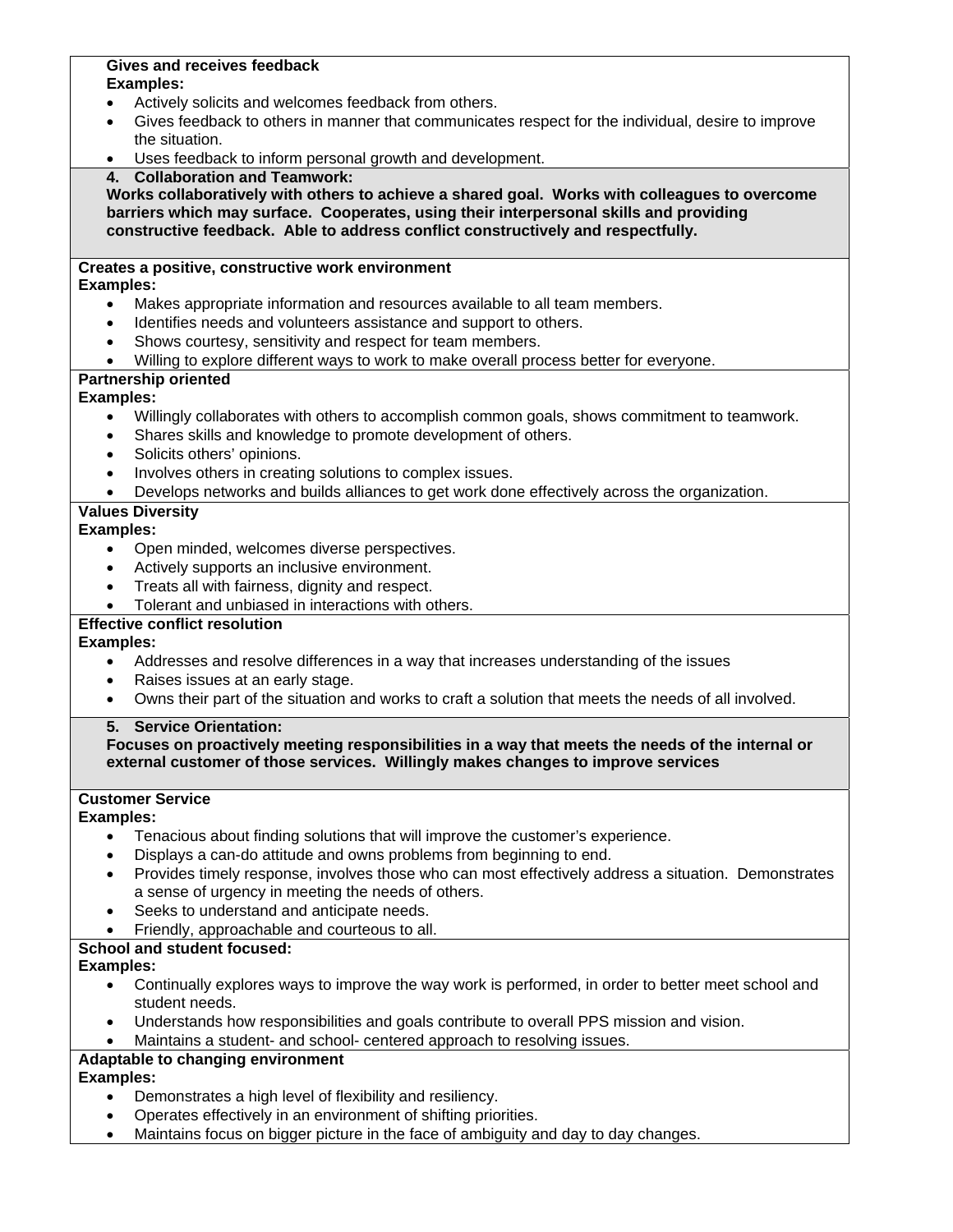#### **Gives and receives feedback Examples:**

- Actively solicits and welcomes feedback from others.
- Gives feedback to others in manner that communicates respect for the individual, desire to improve the situation.
- Uses feedback to inform personal growth and development.
- **4. Collaboration and Teamwork:**

**Works collaboratively with others to achieve a shared goal. Works with colleagues to overcome barriers which may surface. Cooperates, using their interpersonal skills and providing constructive feedback. Able to address conflict constructively and respectfully.**

## **Creates a positive, constructive work environment**

### **Examples:**

- Makes appropriate information and resources available to all team members.
- Identifies needs and volunteers assistance and support to others.
- Shows courtesy, sensitivity and respect for team members.
- Willing to explore different ways to work to make overall process better for everyone.

## **Partnership oriented**

## **Examples:**

- Willingly collaborates with others to accomplish common goals, shows commitment to teamwork.
- Shares skills and knowledge to promote development of others.
- Solicits others' opinions.
- Involves others in creating solutions to complex issues.
- Develops networks and builds alliances to get work done effectively across the organization.

## **Values Diversity**

## **Examples:**

- Open minded, welcomes diverse perspectives.
- Actively supports an inclusive environment.
- Treats all with fairness, dignity and respect.
- Tolerant and unbiased in interactions with others.

## **Effective conflict resolution**

**Examples:** 

- Addresses and resolve differences in a way that increases understanding of the issues
- Raises issues at an early stage.
- Owns their part of the situation and works to craft a solution that meets the needs of all involved.

## **5. Service Orientation:**

### **Focuses on proactively meeting responsibilities in a way that meets the needs of the internal or external customer of those services. Willingly makes changes to improve services**

## **Customer Service**

#### **Examples:**

- Tenacious about finding solutions that will improve the customer's experience.
- Displays a can-do attitude and owns problems from beginning to end.
- Provides timely response, involves those who can most effectively address a situation. Demonstrates a sense of urgency in meeting the needs of others.
- Seeks to understand and anticipate needs.
- Friendly, approachable and courteous to all.

## **School and student focused:**

## **Examples:**

- Continually explores ways to improve the way work is performed, in order to better meet school and student needs.
- Understands how responsibilities and goals contribute to overall PPS mission and vision.
- Maintains a student- and school- centered approach to resolving issues.

## **Adaptable to changing environment**

## **Examples:**

- Demonstrates a high level of flexibility and resiliency.
- Operates effectively in an environment of shifting priorities.
- Maintains focus on bigger picture in the face of ambiguity and day to day changes.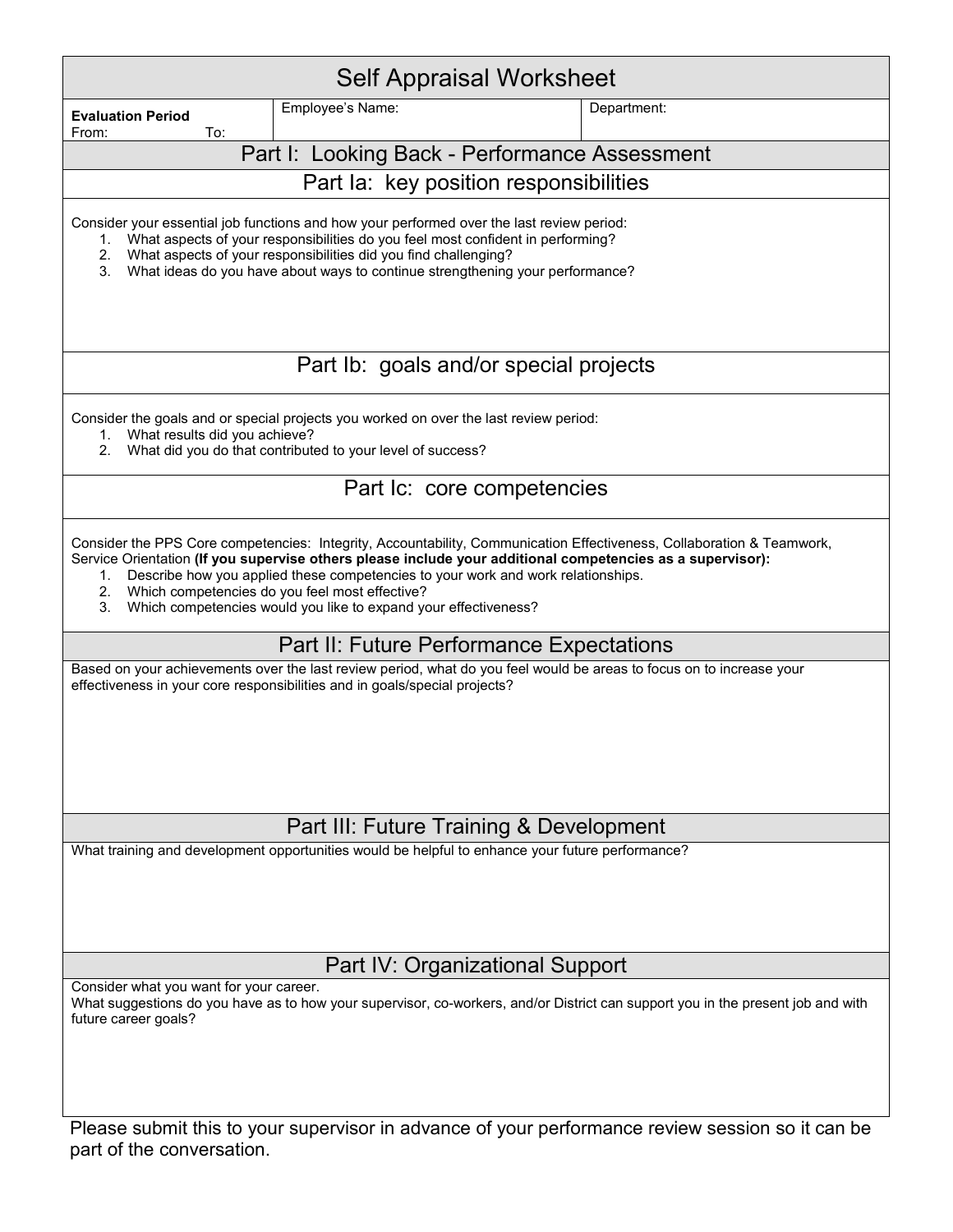| <b>Self Appraisal Worksheet</b>                                                                                                                                                                                                                                                                                                                                                                                                                                |                                                                                                  |                                                                                                                                 |  |  |
|----------------------------------------------------------------------------------------------------------------------------------------------------------------------------------------------------------------------------------------------------------------------------------------------------------------------------------------------------------------------------------------------------------------------------------------------------------------|--------------------------------------------------------------------------------------------------|---------------------------------------------------------------------------------------------------------------------------------|--|--|
| <b>Evaluation Period</b>                                                                                                                                                                                                                                                                                                                                                                                                                                       | Employee's Name:                                                                                 | Department:                                                                                                                     |  |  |
| To:<br>From:                                                                                                                                                                                                                                                                                                                                                                                                                                                   | Part I: Looking Back - Performance Assessment                                                    |                                                                                                                                 |  |  |
|                                                                                                                                                                                                                                                                                                                                                                                                                                                                | Part la: key position responsibilities                                                           |                                                                                                                                 |  |  |
| Consider your essential job functions and how your performed over the last review period:<br>1. What aspects of your responsibilities do you feel most confident in performing?<br>What aspects of your responsibilities did you find challenging?<br>2.<br>3.<br>What ideas do you have about ways to continue strengthening your performance?                                                                                                                |                                                                                                  |                                                                                                                                 |  |  |
| Part Ib: goals and/or special projects                                                                                                                                                                                                                                                                                                                                                                                                                         |                                                                                                  |                                                                                                                                 |  |  |
| Consider the goals and or special projects you worked on over the last review period:<br>1. What results did you achieve?<br>What did you do that contributed to your level of success?<br>2.                                                                                                                                                                                                                                                                  |                                                                                                  |                                                                                                                                 |  |  |
|                                                                                                                                                                                                                                                                                                                                                                                                                                                                | Part Ic: core competencies                                                                       |                                                                                                                                 |  |  |
| Consider the PPS Core competencies: Integrity, Accountability, Communication Effectiveness, Collaboration & Teamwork,<br>Service Orientation (If you supervise others please include your additional competencies as a supervisor):<br>Describe how you applied these competencies to your work and work relationships.<br>1.<br>Which competencies do you feel most effective?<br>2.<br>3.<br>Which competencies would you like to expand your effectiveness? |                                                                                                  |                                                                                                                                 |  |  |
|                                                                                                                                                                                                                                                                                                                                                                                                                                                                | Part II: Future Performance Expectations                                                         |                                                                                                                                 |  |  |
| Based on your achievements over the last review period, what do you feel would be areas to focus on to increase your<br>effectiveness in your core responsibilities and in goals/special projects?                                                                                                                                                                                                                                                             |                                                                                                  |                                                                                                                                 |  |  |
|                                                                                                                                                                                                                                                                                                                                                                                                                                                                | Part III: Future Training & Development                                                          |                                                                                                                                 |  |  |
|                                                                                                                                                                                                                                                                                                                                                                                                                                                                | What training and development opportunities would be helpful to enhance your future performance? |                                                                                                                                 |  |  |
| Part IV: Organizational Support                                                                                                                                                                                                                                                                                                                                                                                                                                |                                                                                                  |                                                                                                                                 |  |  |
| Consider what you want for your career.<br>future career goals?                                                                                                                                                                                                                                                                                                                                                                                                |                                                                                                  | What suggestions do you have as to how your supervisor, co-workers, and/or District can support you in the present job and with |  |  |

Please submit this to your supervisor in advance of your performance review session so it can be part of the conversation.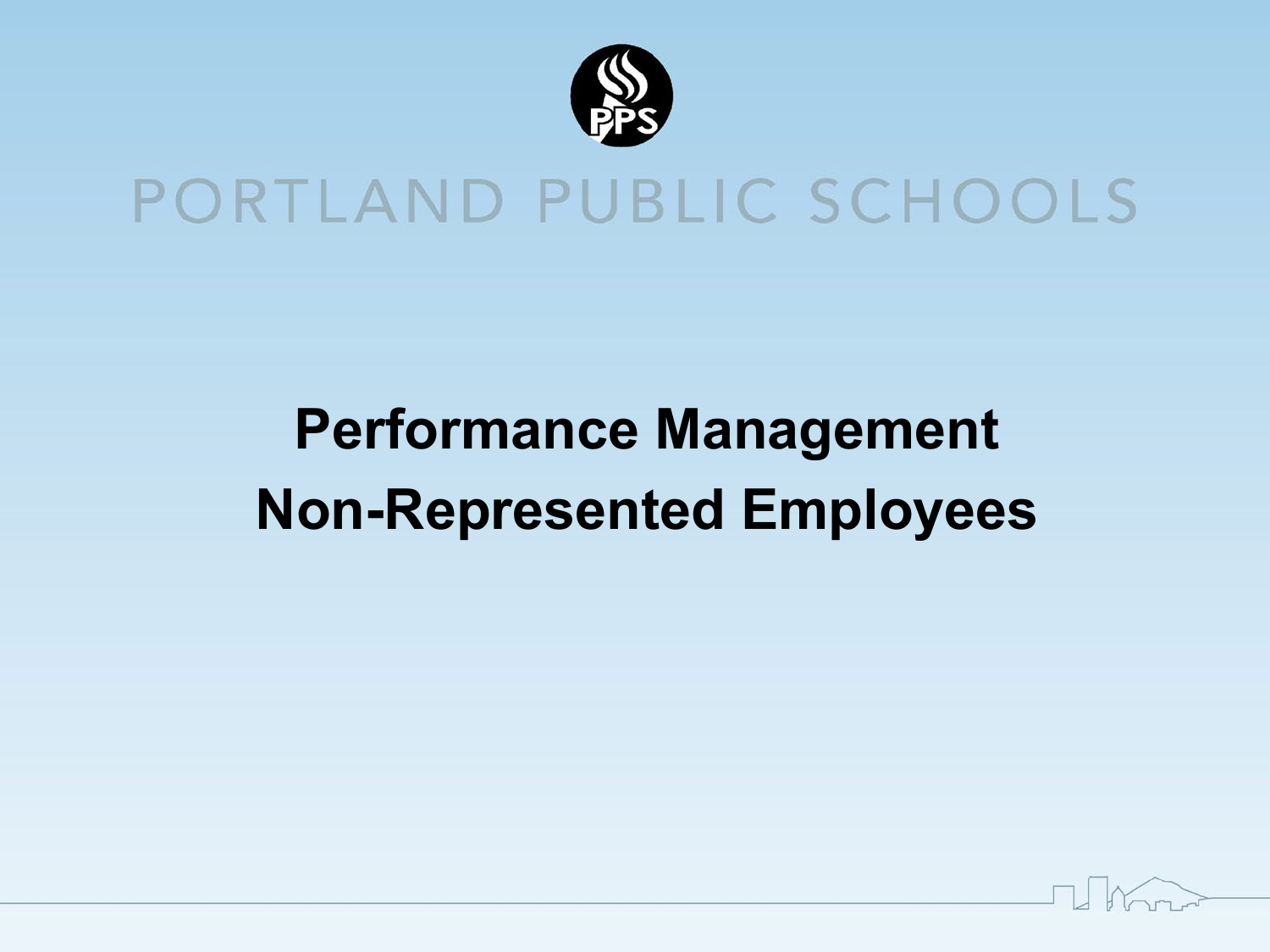

# PORTLAND PUBLIC SCHOOLS

# **Performance Management Non-Represented Employees**

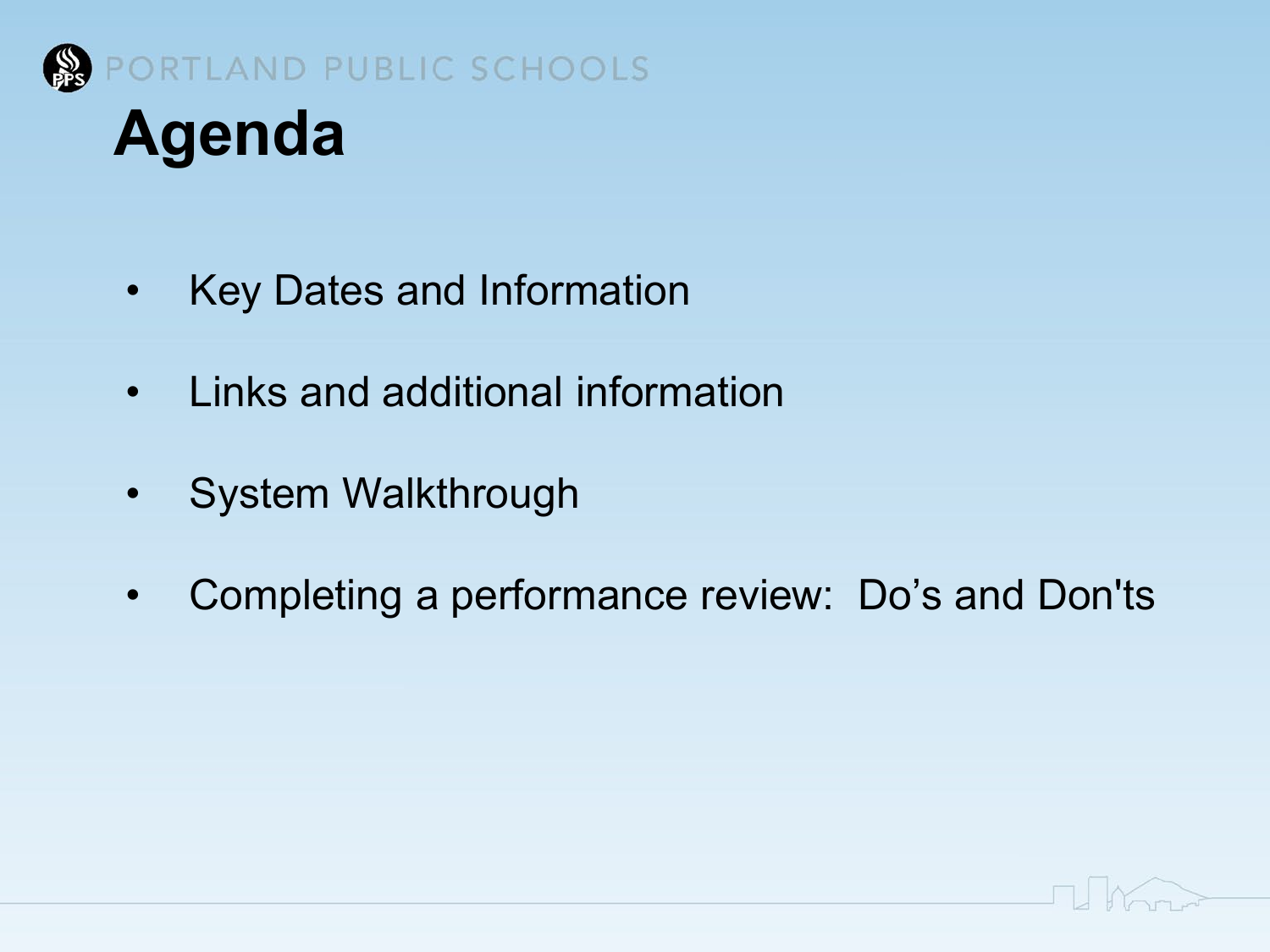

# • Key Dates and Information

- Links and additional information
- System Walkthrough
- Completing a performance review: Do's and Don'ts

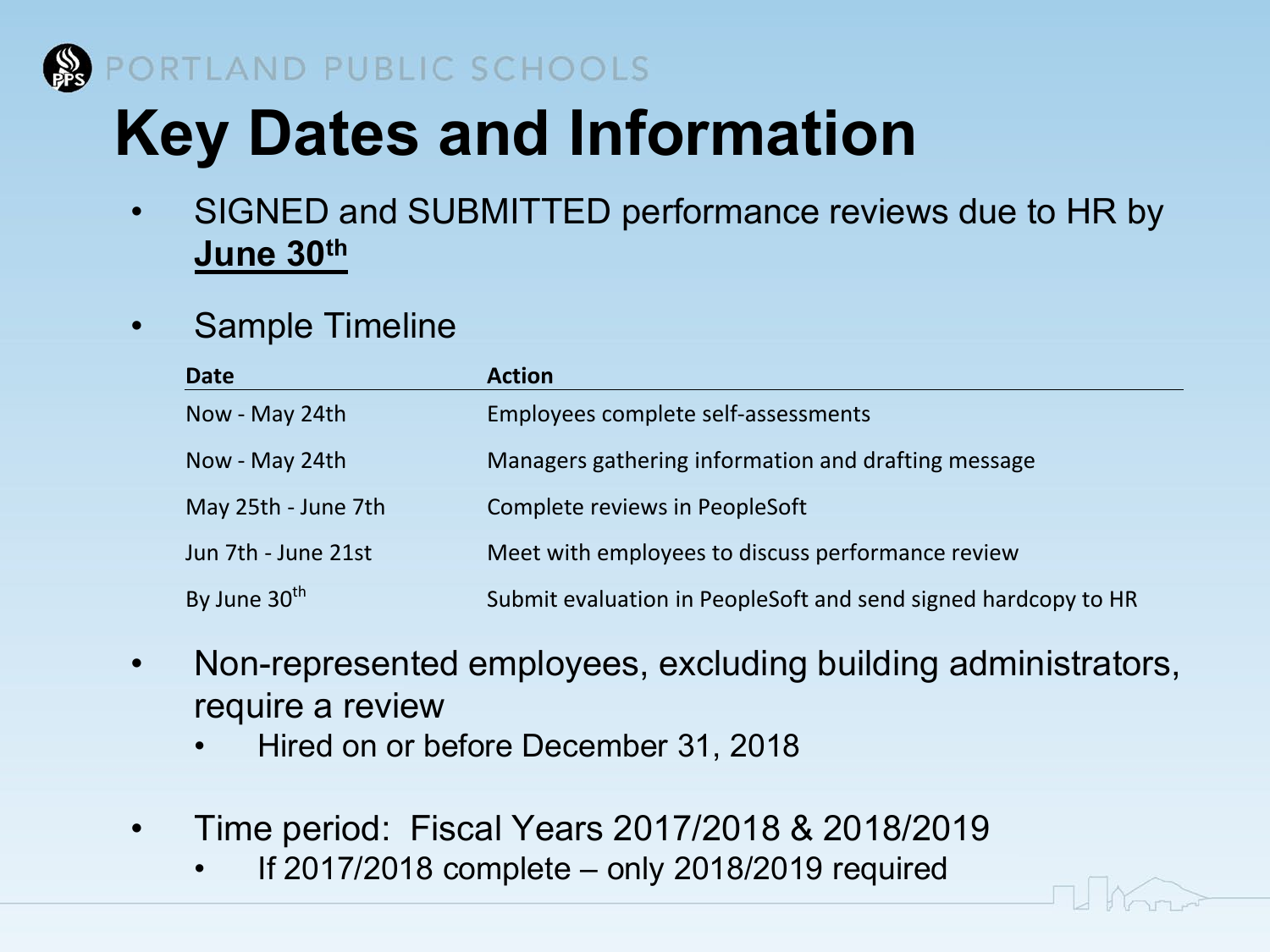

## PORTLAND PUBLIC SCHOOLS

# **Key Dates and Information**

- SIGNED and SUBMITTED performance reviews due to HR by **June 30th**
- Sample Timeline

| <b>Date</b>              | <b>Action</b>                                                  |
|--------------------------|----------------------------------------------------------------|
| Now - May 24th           | Employees complete self-assessments                            |
| Now - May 24th           | Managers gathering information and drafting message            |
| May 25th - June 7th      | Complete reviews in PeopleSoft                                 |
| Jun 7th - June 21st      | Meet with employees to discuss performance review              |
| By June 30 <sup>th</sup> | Submit evaluation in PeopleSoft and send signed hardcopy to HR |

- Non-represented employees, excluding building administrators, require a review
	- Hired on or before December 31, 2018
- Time period: Fiscal Years 2017/2018 & 2018/2019
	- If  $2017/2018$  complete only  $2018/2019$  required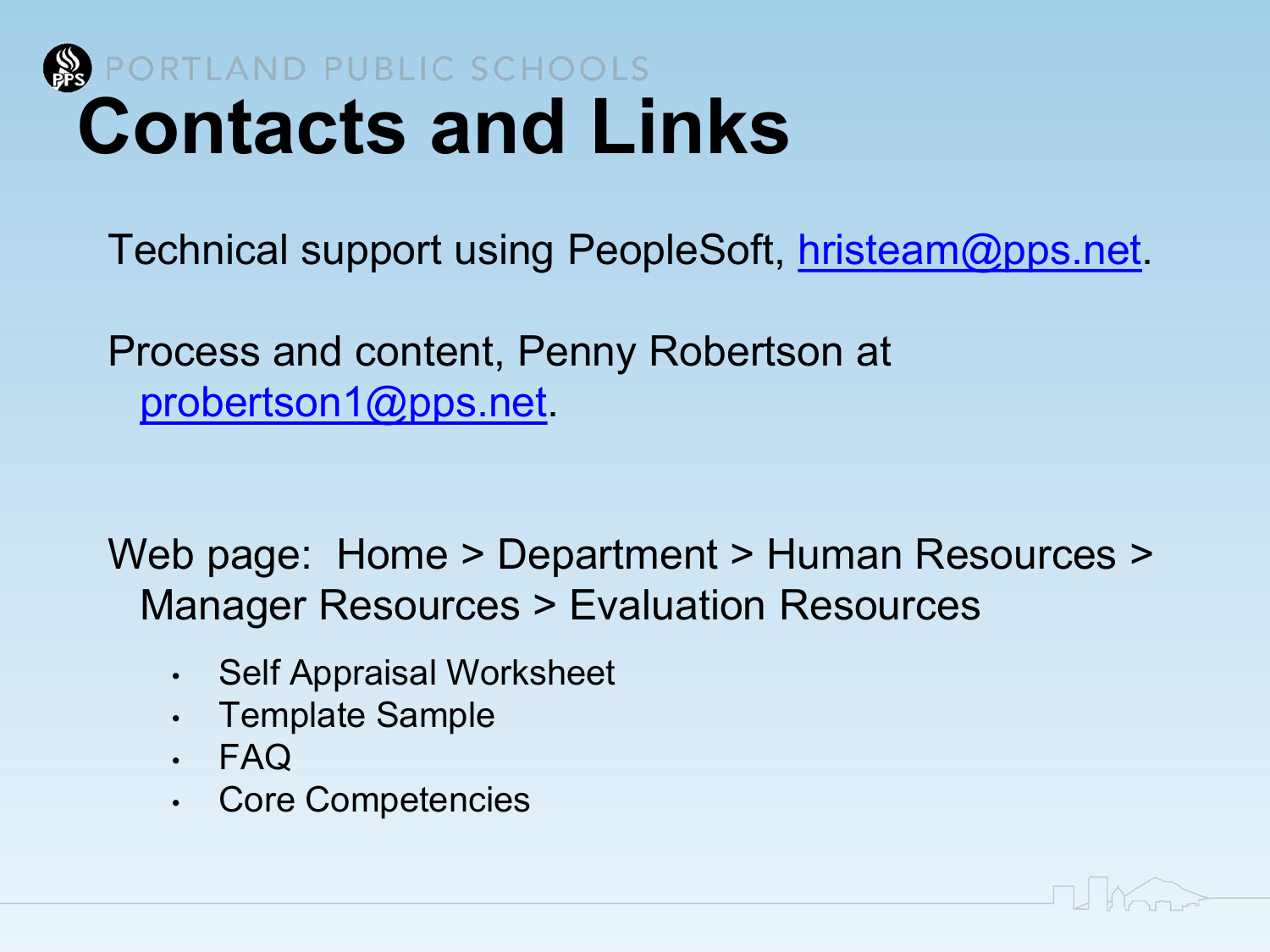

Technical support using PeopleSoft, [hristeam@pps.net.](mailto:hristeam@pps.net)

Process and content, Penny Robertson at [probertson1@pps.net](mailto:probertson1@pps.net).

Web page: Home > Department > Human Resources > Manager Resources > Evaluation Resources

- Self Appraisal Worksheet
- Template Sample
- FAQ
- Core Competencies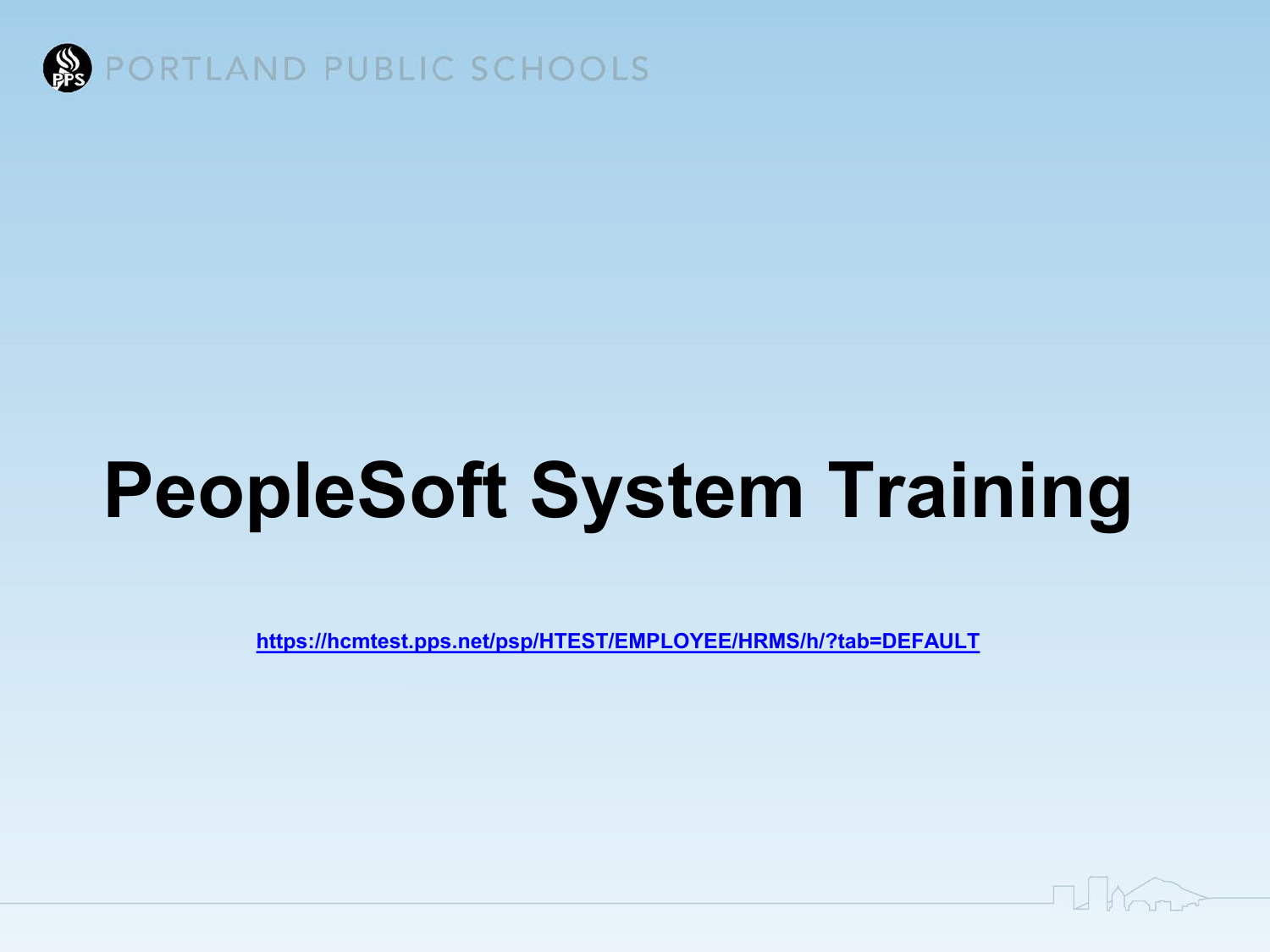

# **PeopleSoft System Training**

**<https://hcmtest.pps.net/psp/HTEST/EMPLOYEE/HRMS/h/?tab=DEFAULT>**

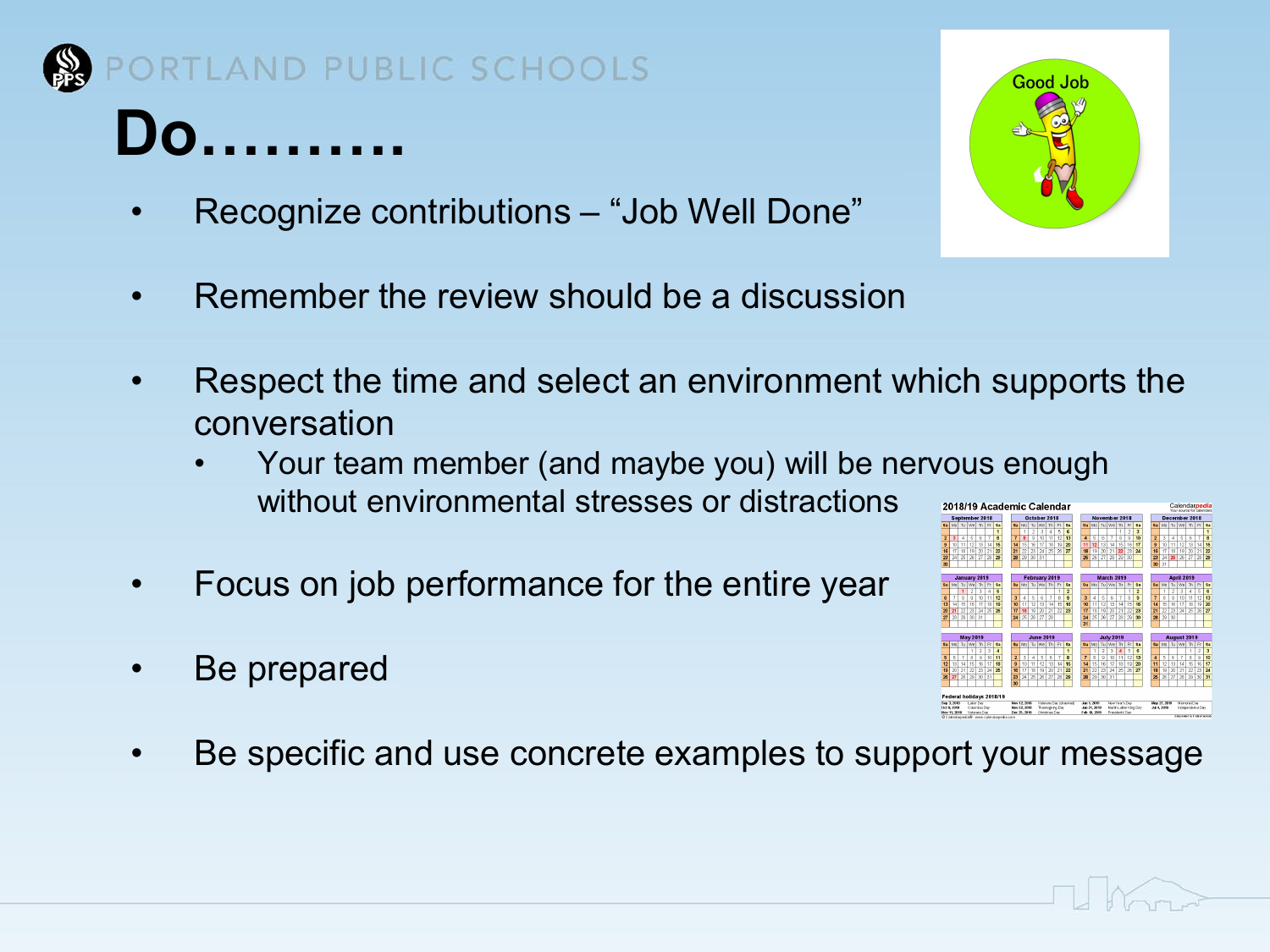

## RTLAND PUBLIC SCHOOLS

# **Do……….**

- Recognize contributions "Job Well Done"
- Remember the review should be a discussion
- Respect the time and select an environment which supports the conversation
	- Your team member (and maybe you) will be nervous enough without environmental stresses or distractions
- Focus on job performance for the entire year
- Be prepared
- Be specific and use concrete examples to support your message